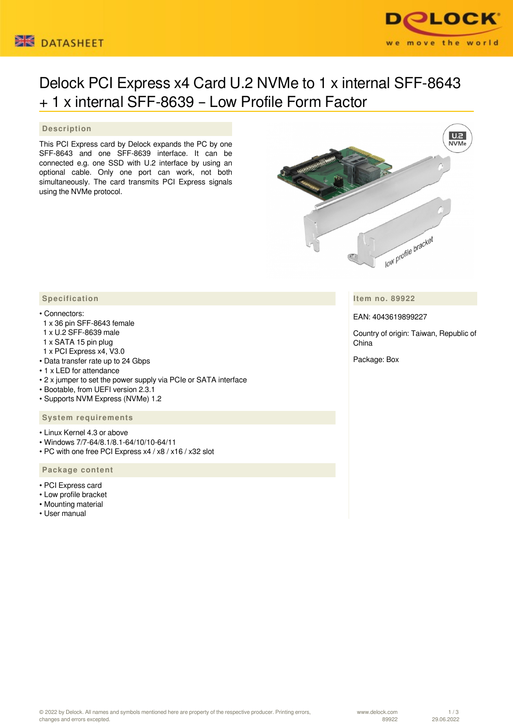



# Delock PCI Express x4 Card U.2 NVMe to 1 x internal SFF-8643 + 1 x internal SFF-8639 – Low Profile Form Factor

## **Description**

This PCI Express card by Delock expands the PC by one SFF-8643 and one SFF-8639 interface. It can be connected e.g. one SSD with U.2 interface by using an optional cable. Only one port can work, not both simultaneously. The card transmits PCI Express signals using the NVMe protocol.



**Item no. 89922**

EAN: 4043619899227

Country of origin: Taiwan, Republic of China

Package: Box

### **Specification**

#### • Connectors:

- 1 x 36 pin SFF-8643 female
- 1 x U.2 SFF-8639 male
- 1 x SATA 15 pin plug
- 1 x PCI Express x4, V3.0
- Data transfer rate up to 24 Gbps
- 1 x LED for attendance
- 2 x jumper to set the power supply via PCIe or SATA interface
- Bootable, from UEFI version 2.3.1
- Supports NVM Express (NVMe) 1.2

#### **System requirements**

- Linux Kernel 4.3 or above
- Windows 7/7-64/8.1/8.1-64/10/10-64/11
- PC with one free PCI Express x4 / x8 / x16 / x32 slot

#### **Package content**

- PCI Express card
- Low profile bracket
- Mounting material
- User manual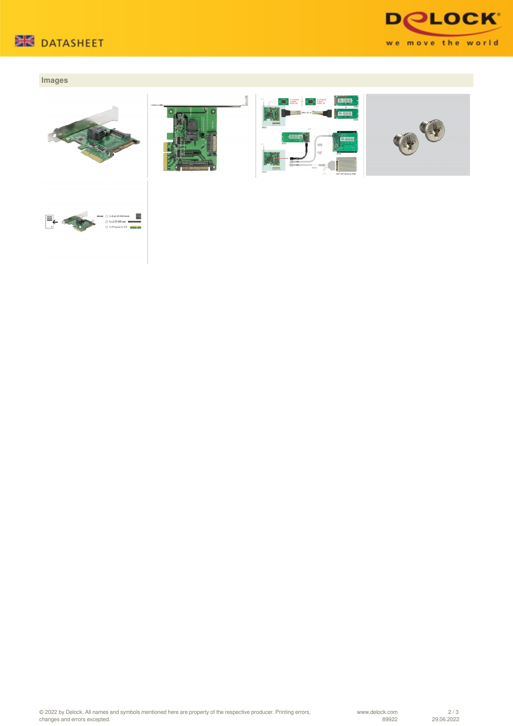



## **Images**